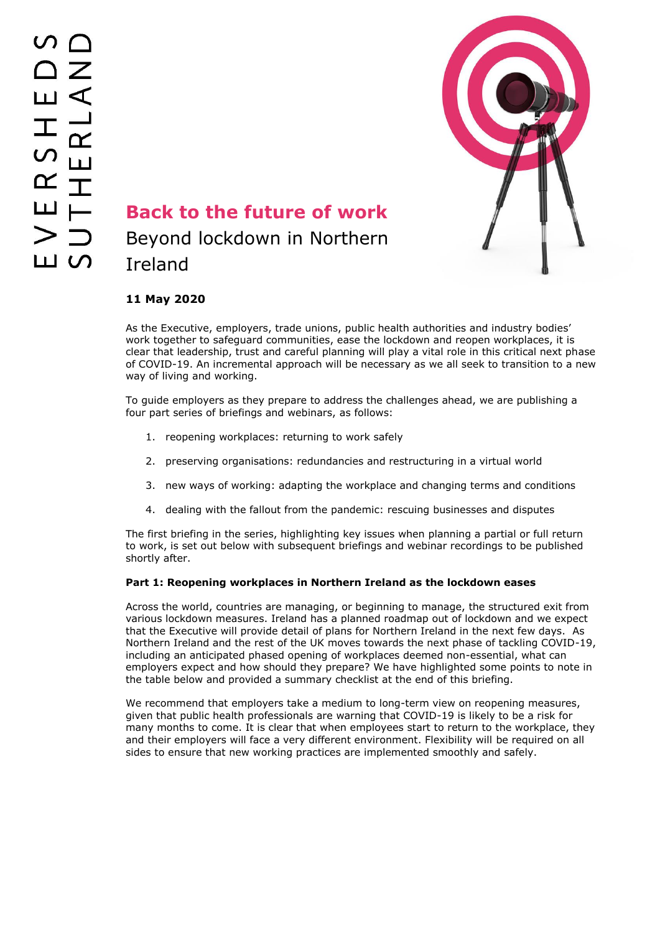

# **Back to the future of work** Beyond lockdown in Northern Ireland

### **11 May 2020**

As the Executive, employers, trade unions, public health authorities and industry bodies' work together to safeguard communities, ease the lockdown and reopen workplaces, it is clear that leadership, trust and careful planning will play a vital role in this critical next phase of COVID-19. An incremental approach will be necessary as we all seek to transition to a new way of living and working.

To guide employers as they prepare to address the challenges ahead, we are publishing a four part series of briefings and webinars, as follows:

- 1. reopening workplaces: returning to work safely
- 2. preserving organisations: redundancies and restructuring in a virtual world
- 3. new ways of working: adapting the workplace and changing terms and conditions
- 4. dealing with the fallout from the pandemic: rescuing businesses and disputes

The first briefing in the series, highlighting key issues when planning a partial or full return to work, is set out below with subsequent briefings and webinar recordings to be published shortly after.

#### **Part 1: Reopening workplaces in Northern Ireland as the lockdown eases**

Across the world, countries are managing, or beginning to manage, the structured exit from various lockdown measures. Ireland has a planned roadmap out of lockdown and we expect that the Executive will provide detail of plans for Northern Ireland in the next few days. As Northern Ireland and the rest of the UK moves towards the next phase of tackling COVID-19, including an anticipated phased opening of workplaces deemed non-essential, what can employers expect and how should they prepare? We have highlighted some points to note in the table below and provided a summary checklist at the end of this briefing.

We recommend that employers take a medium to long-term view on reopening measures, given that public health professionals are warning that COVID-19 is likely to be a risk for many months to come. It is clear that when employees start to return to the workplace, they and their employers will face a very different environment. Flexibility will be required on all sides to ensure that new working practices are implemented smoothly and safely.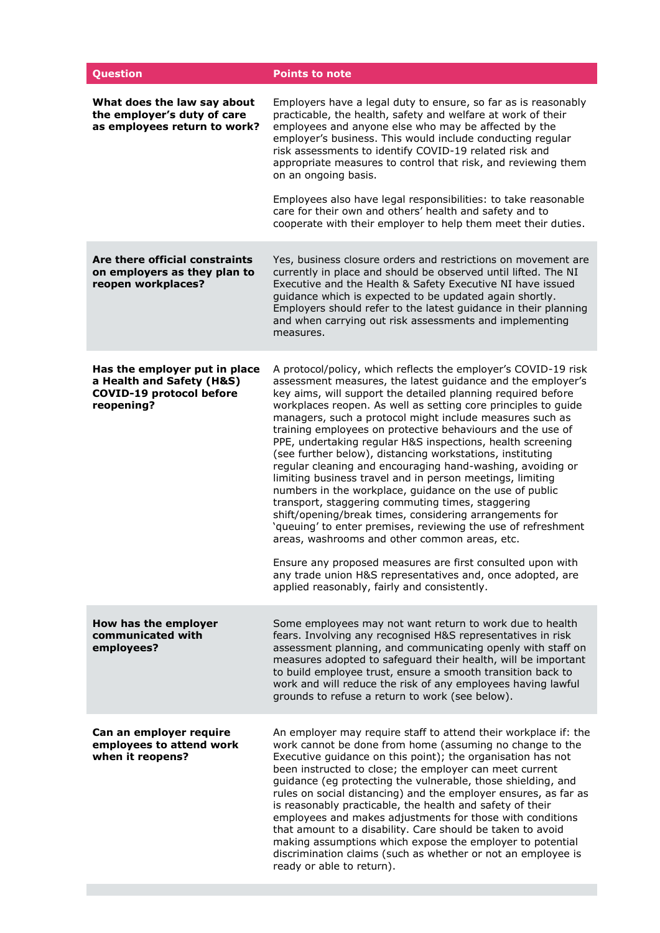| <b>Question</b>                                                                                             | <b>Points to note</b>                                                                                                                                                                                                                                                                                                                                                                                                                                                                                                                                                                                                                                                                                                                                                                                                                                                                                                                                                                                                                                                                                                    |
|-------------------------------------------------------------------------------------------------------------|--------------------------------------------------------------------------------------------------------------------------------------------------------------------------------------------------------------------------------------------------------------------------------------------------------------------------------------------------------------------------------------------------------------------------------------------------------------------------------------------------------------------------------------------------------------------------------------------------------------------------------------------------------------------------------------------------------------------------------------------------------------------------------------------------------------------------------------------------------------------------------------------------------------------------------------------------------------------------------------------------------------------------------------------------------------------------------------------------------------------------|
| What does the law say about<br>the employer's duty of care<br>as employees return to work?                  | Employers have a legal duty to ensure, so far as is reasonably<br>practicable, the health, safety and welfare at work of their<br>employees and anyone else who may be affected by the<br>employer's business. This would include conducting regular<br>risk assessments to identify COVID-19 related risk and<br>appropriate measures to control that risk, and reviewing them<br>on an ongoing basis.                                                                                                                                                                                                                                                                                                                                                                                                                                                                                                                                                                                                                                                                                                                  |
|                                                                                                             | Employees also have legal responsibilities: to take reasonable<br>care for their own and others' health and safety and to<br>cooperate with their employer to help them meet their duties.                                                                                                                                                                                                                                                                                                                                                                                                                                                                                                                                                                                                                                                                                                                                                                                                                                                                                                                               |
| Are there official constraints<br>on employers as they plan to<br>reopen workplaces?                        | Yes, business closure orders and restrictions on movement are<br>currently in place and should be observed until lifted. The NI<br>Executive and the Health & Safety Executive NI have issued<br>guidance which is expected to be updated again shortly.<br>Employers should refer to the latest guidance in their planning<br>and when carrying out risk assessments and implementing<br>measures.                                                                                                                                                                                                                                                                                                                                                                                                                                                                                                                                                                                                                                                                                                                      |
| Has the employer put in place<br>a Health and Safety (H&S)<br><b>COVID-19 protocol before</b><br>reopening? | A protocol/policy, which reflects the employer's COVID-19 risk<br>assessment measures, the latest guidance and the employer's<br>key aims, will support the detailed planning required before<br>workplaces reopen. As well as setting core principles to guide<br>managers, such a protocol might include measures such as<br>training employees on protective behaviours and the use of<br>PPE, undertaking regular H&S inspections, health screening<br>(see further below), distancing workstations, instituting<br>regular cleaning and encouraging hand-washing, avoiding or<br>limiting business travel and in person meetings, limiting<br>numbers in the workplace, guidance on the use of public<br>transport, staggering commuting times, staggering<br>shift/opening/break times, considering arrangements for<br>'queuing' to enter premises, reviewing the use of refreshment<br>areas, washrooms and other common areas, etc.<br>Ensure any proposed measures are first consulted upon with<br>any trade union H&S representatives and, once adopted, are<br>applied reasonably, fairly and consistently. |
| How has the employer<br>communicated with<br>employees?                                                     | Some employees may not want return to work due to health<br>fears. Involving any recognised H&S representatives in risk<br>assessment planning, and communicating openly with staff on<br>measures adopted to safeguard their health, will be important<br>to build employee trust, ensure a smooth transition back to<br>work and will reduce the risk of any employees having lawful<br>grounds to refuse a return to work (see below).                                                                                                                                                                                                                                                                                                                                                                                                                                                                                                                                                                                                                                                                                |
| Can an employer require<br>employees to attend work<br>when it reopens?                                     | An employer may require staff to attend their workplace if: the<br>work cannot be done from home (assuming no change to the<br>Executive guidance on this point); the organisation has not<br>been instructed to close; the employer can meet current<br>guidance (eg protecting the vulnerable, those shielding, and<br>rules on social distancing) and the employer ensures, as far as<br>is reasonably practicable, the health and safety of their<br>employees and makes adjustments for those with conditions<br>that amount to a disability. Care should be taken to avoid<br>making assumptions which expose the employer to potential<br>discrimination claims (such as whether or not an employee is<br>ready or able to return).                                                                                                                                                                                                                                                                                                                                                                               |

**The State**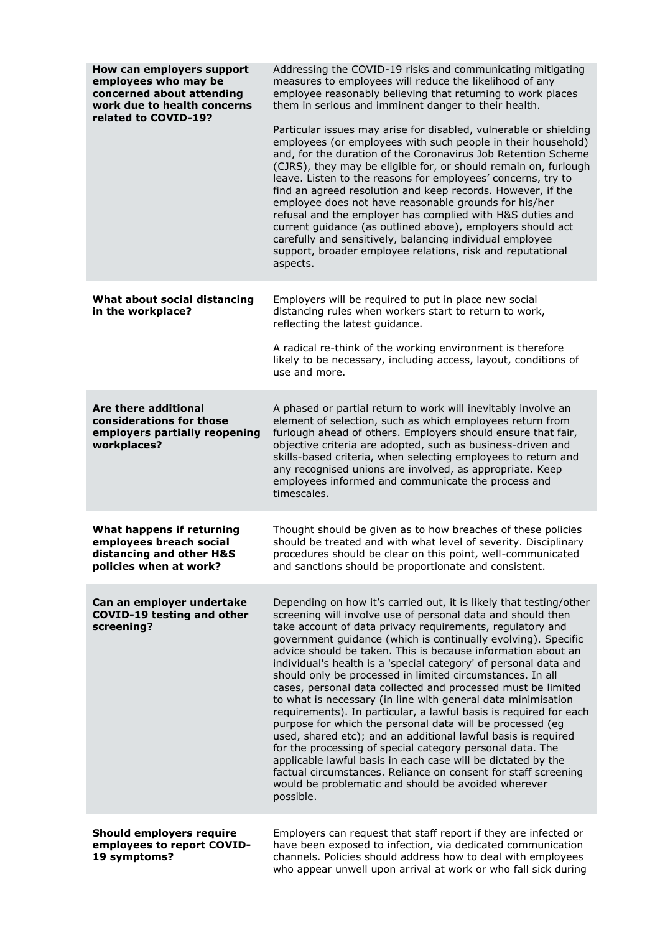| How can employers support<br>employees who may be<br>concerned about attending<br>work due to health concerns<br>related to COVID-19? | Addressing the COVID-19 risks and communicating mitigating<br>measures to employees will reduce the likelihood of any<br>employee reasonably believing that returning to work places<br>them in serious and imminent danger to their health.<br>Particular issues may arise for disabled, vulnerable or shielding<br>employees (or employees with such people in their household)<br>and, for the duration of the Coronavirus Job Retention Scheme<br>(CJRS), they may be eligible for, or should remain on, furlough<br>leave. Listen to the reasons for employees' concerns, try to<br>find an agreed resolution and keep records. However, if the<br>employee does not have reasonable grounds for his/her<br>refusal and the employer has complied with H&S duties and<br>current guidance (as outlined above), employers should act<br>carefully and sensitively, balancing individual employee<br>support, broader employee relations, risk and reputational<br>aspects.                                                                                         |
|---------------------------------------------------------------------------------------------------------------------------------------|------------------------------------------------------------------------------------------------------------------------------------------------------------------------------------------------------------------------------------------------------------------------------------------------------------------------------------------------------------------------------------------------------------------------------------------------------------------------------------------------------------------------------------------------------------------------------------------------------------------------------------------------------------------------------------------------------------------------------------------------------------------------------------------------------------------------------------------------------------------------------------------------------------------------------------------------------------------------------------------------------------------------------------------------------------------------|
| What about social distancing<br>in the workplace?                                                                                     | Employers will be required to put in place new social<br>distancing rules when workers start to return to work,<br>reflecting the latest guidance.<br>A radical re-think of the working environment is therefore<br>likely to be necessary, including access, layout, conditions of<br>use and more.                                                                                                                                                                                                                                                                                                                                                                                                                                                                                                                                                                                                                                                                                                                                                                   |
| Are there additional<br>considerations for those<br>employers partially reopening<br>workplaces?                                      | A phased or partial return to work will inevitably involve an<br>element of selection, such as which employees return from<br>furlough ahead of others. Employers should ensure that fair,<br>objective criteria are adopted, such as business-driven and<br>skills-based criteria, when selecting employees to return and<br>any recognised unions are involved, as appropriate. Keep<br>employees informed and communicate the process and<br>timescales.                                                                                                                                                                                                                                                                                                                                                                                                                                                                                                                                                                                                            |
| What happens if returning<br>employees breach social<br>distancing and other H&S<br>policies when at work?                            | Thought should be given as to how breaches of these policies<br>should be treated and with what level of severity. Disciplinary<br>procedures should be clear on this point, well-communicated<br>and sanctions should be proportionate and consistent.                                                                                                                                                                                                                                                                                                                                                                                                                                                                                                                                                                                                                                                                                                                                                                                                                |
| Can an employer undertake<br><b>COVID-19 testing and other</b><br>screening?                                                          | Depending on how it's carried out, it is likely that testing/other<br>screening will involve use of personal data and should then<br>take account of data privacy requirements, regulatory and<br>government guidance (which is continually evolving). Specific<br>advice should be taken. This is because information about an<br>individual's health is a 'special category' of personal data and<br>should only be processed in limited circumstances. In all<br>cases, personal data collected and processed must be limited<br>to what is necessary (in line with general data minimisation<br>requirements). In particular, a lawful basis is required for each<br>purpose for which the personal data will be processed (eg<br>used, shared etc); and an additional lawful basis is required<br>for the processing of special category personal data. The<br>applicable lawful basis in each case will be dictated by the<br>factual circumstances. Reliance on consent for staff screening<br>would be problematic and should be avoided wherever<br>possible. |
| <b>Should employers require</b><br>employees to report COVID-<br>19 symptoms?                                                         | Employers can request that staff report if they are infected or<br>have been exposed to infection, via dedicated communication<br>channels. Policies should address how to deal with employees                                                                                                                                                                                                                                                                                                                                                                                                                                                                                                                                                                                                                                                                                                                                                                                                                                                                         |

who appear unwell upon arrival at work or who fall sick during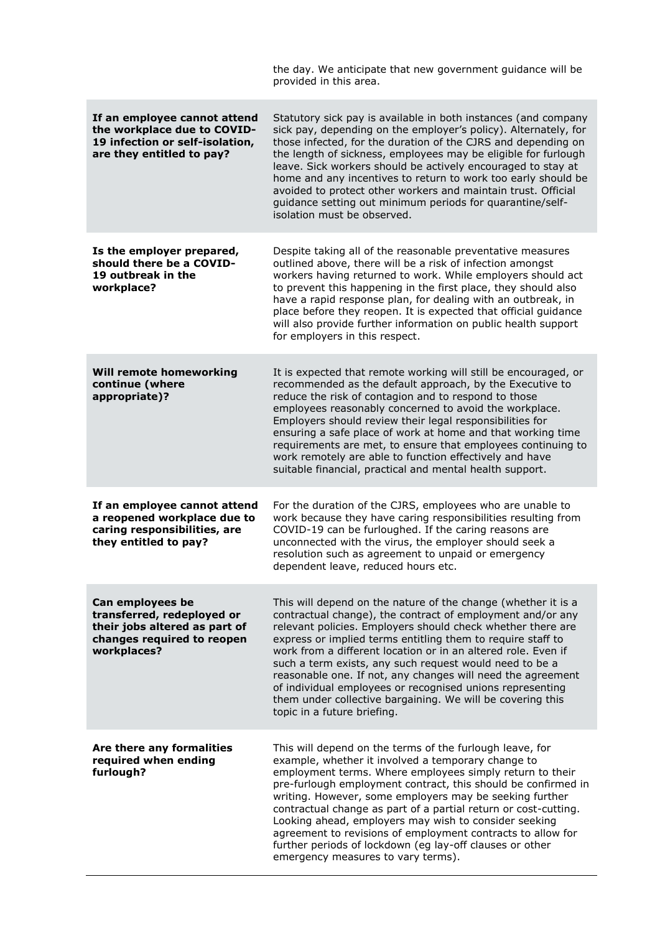|                                                                                                                              | the day. We anticipate that new government guidance will be<br>provided in this area.                                                                                                                                                                                                                                                                                                                                                                                                                                                                                                                          |
|------------------------------------------------------------------------------------------------------------------------------|----------------------------------------------------------------------------------------------------------------------------------------------------------------------------------------------------------------------------------------------------------------------------------------------------------------------------------------------------------------------------------------------------------------------------------------------------------------------------------------------------------------------------------------------------------------------------------------------------------------|
| If an employee cannot attend<br>the workplace due to COVID-<br>19 infection or self-isolation,<br>are they entitled to pay?  | Statutory sick pay is available in both instances (and company<br>sick pay, depending on the employer's policy). Alternately, for<br>those infected, for the duration of the CJRS and depending on<br>the length of sickness, employees may be eligible for furlough<br>leave. Sick workers should be actively encouraged to stay at<br>home and any incentives to return to work too early should be<br>avoided to protect other workers and maintain trust. Official<br>guidance setting out minimum periods for quarantine/self-<br>isolation must be observed.                                             |
| Is the employer prepared,<br>should there be a COVID-<br>19 outbreak in the<br>workplace?                                    | Despite taking all of the reasonable preventative measures<br>outlined above, there will be a risk of infection amongst<br>workers having returned to work. While employers should act<br>to prevent this happening in the first place, they should also<br>have a rapid response plan, for dealing with an outbreak, in<br>place before they reopen. It is expected that official guidance<br>will also provide further information on public health support<br>for employers in this respect.                                                                                                                |
| Will remote homeworking<br>continue (where<br>appropriate)?                                                                  | It is expected that remote working will still be encouraged, or<br>recommended as the default approach, by the Executive to<br>reduce the risk of contagion and to respond to those<br>employees reasonably concerned to avoid the workplace.<br>Employers should review their legal responsibilities for<br>ensuring a safe place of work at home and that working time<br>requirements are met, to ensure that employees continuing to<br>work remotely are able to function effectively and have<br>suitable financial, practical and mental health support.                                                |
| If an employee cannot attend<br>a reopened workplace due to<br>caring responsibilities, are<br>they entitled to pay?         | For the duration of the CJRS, employees who are unable to<br>work because they have caring responsibilities resulting from<br>COVID-19 can be furloughed. If the caring reasons are<br>unconnected with the virus, the employer should seek a<br>resolution such as agreement to unpaid or emergency<br>dependent leave, reduced hours etc.                                                                                                                                                                                                                                                                    |
| Can employees be<br>transferred, redeployed or<br>their jobs altered as part of<br>changes required to reopen<br>workplaces? | This will depend on the nature of the change (whether it is a<br>contractual change), the contract of employment and/or any<br>relevant policies. Employers should check whether there are<br>express or implied terms entitling them to require staff to<br>work from a different location or in an altered role. Even if<br>such a term exists, any such request would need to be a<br>reasonable one. If not, any changes will need the agreement<br>of individual employees or recognised unions representing<br>them under collective bargaining. We will be covering this<br>topic in a future briefing. |
| Are there any formalities<br>required when ending<br>furlough?                                                               | This will depend on the terms of the furlough leave, for<br>example, whether it involved a temporary change to<br>employment terms. Where employees simply return to their<br>pre-furlough employment contract, this should be confirmed in<br>writing. However, some employers may be seeking further<br>contractual change as part of a partial return or cost-cutting.<br>Looking ahead, employers may wish to consider seeking<br>agreement to revisions of employment contracts to allow for<br>further periods of lockdown (eg lay-off clauses or other<br>emergency measures to vary terms).            |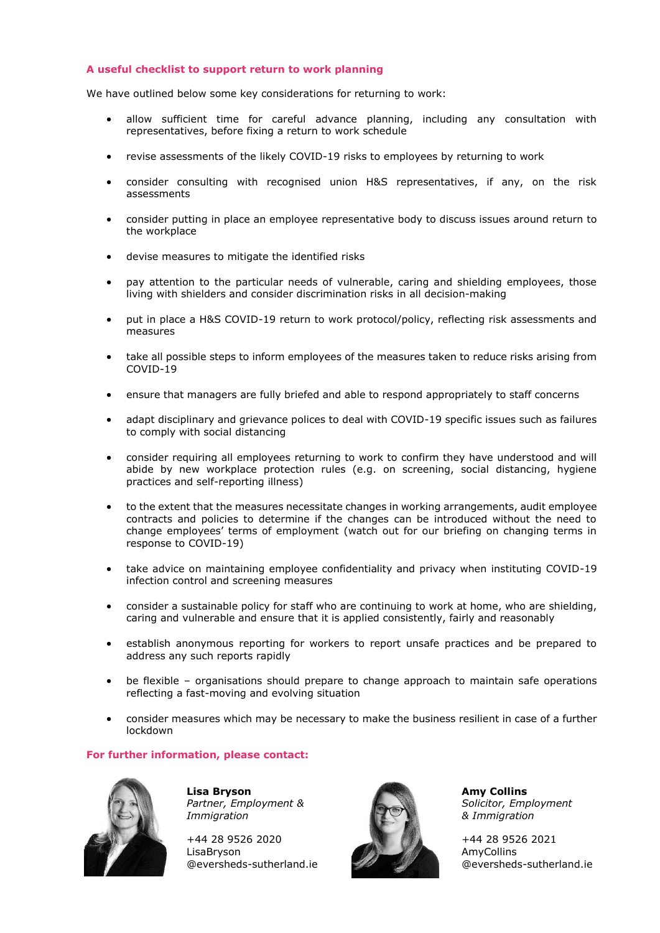#### **A useful checklist to support return to work planning**

We have outlined below some key considerations for returning to work:

- allow sufficient time for careful advance planning, including any consultation with representatives, before fixing a return to work schedule
- revise assessments of the likely COVID-19 risks to employees by returning to work
- consider consulting with recognised union H&S representatives, if any, on the risk assessments
- consider putting in place an employee representative body to discuss issues around return to the workplace
- devise measures to mitigate the identified risks
- pay attention to the particular needs of vulnerable, caring and shielding employees, those living with shielders and consider discrimination risks in all decision-making
- put in place a H&S COVID-19 return to work protocol/policy, reflecting risk assessments and measures
- take all possible steps to inform employees of the measures taken to reduce risks arising from COVID-19
- ensure that managers are fully briefed and able to respond appropriately to staff concerns
- adapt disciplinary and grievance polices to deal with COVID-19 specific issues such as failures to comply with social distancing
- consider requiring all employees returning to work to confirm they have understood and will abide by new workplace protection rules (e.g. on screening, social distancing, hygiene practices and self-reporting illness)
- to the extent that the measures necessitate changes in working arrangements, audit employee contracts and policies to determine if the changes can be introduced without the need to change employees' terms of employment (watch out for our briefing on changing terms in response to COVID-19)
- take advice on maintaining employee confidentiality and privacy when instituting COVID-19 infection control and screening measures
- consider a sustainable policy for staff who are continuing to work at home, who are shielding, caring and vulnerable and ensure that it is applied consistently, fairly and reasonably
- establish anonymous reporting for workers to report unsafe practices and be prepared to address any such reports rapidly
- be flexible organisations should prepare to change approach to maintain safe operations reflecting a fast-moving and evolving situation
- consider measures which may be necessary to make the business resilient in case of a further lockdown

#### **For further information, please contact:**



**Lisa Bryson** *Partner, Employment & Immigration*

+44 28 9526 2020 LisaBryson @eversheds-sutherland.ie



**Amy Collins** *Solicitor, Employment & Immigration*

+44 28 9526 2021 AmyCollins @eversheds-sutherland.ie